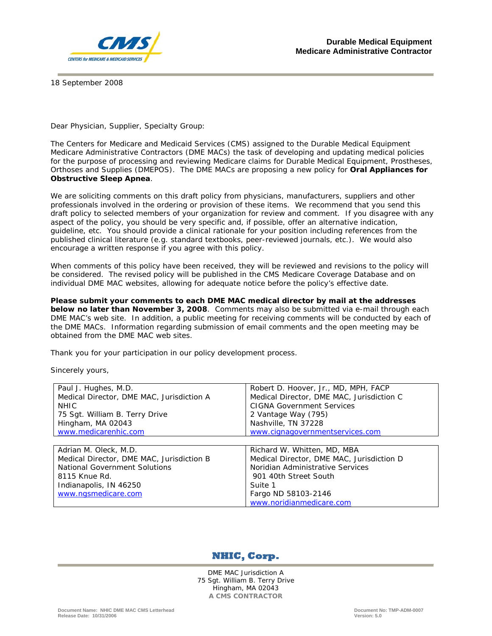

18 September 2008

Dear Physician, Supplier, Specialty Group:

The Centers for Medicare and Medicaid Services (CMS) assigned to the Durable Medical Equipment Medicare Administrative Contractors (DME MACs) the task of developing and updating medical policies for the purpose of processing and reviewing Medicare claims for Durable Medical Equipment, Prostheses, Orthoses and Supplies (DMEPOS). The DME MACs are proposing a new policy for **Oral Appliances for Obstructive Sleep Apnea**.

We are soliciting comments on this draft policy from physicians, manufacturers, suppliers and other professionals involved in the ordering or provision of these items. We recommend that you send this draft policy to selected members of your organization for review and comment. If you disagree with any aspect of the policy, you should be very specific and, if possible, offer an alternative indication, guideline, etc. You should provide a clinical rationale for your position including references from the published clinical literature (e.g. standard textbooks, peer-reviewed journals, etc.). We would also encourage a written response if you agree with this policy.

When comments of this policy have been received, they will be reviewed and revisions to the policy will be considered. The revised policy will be published in the CMS Medicare Coverage Database and on individual DME MAC websites, allowing for adequate notice before the policy's effective date.

**Please submit your comments to each DME MAC medical director by mail at the addresses below no later than November 3, 2008**. Comments may also be submitted via e-mail through each DME MAC's web site. In addition, a public meeting for receiving comments will be conducted by each of the DME MACs. Information regarding submission of email comments and the open meeting may be obtained from the DME MAC web sites.

Thank you for your participation in our policy development process.

Sincerely yours,

| Paul J. Hughes, M.D.                      | Robert D. Hoover, Jr., MD, MPH, FACP      |
|-------------------------------------------|-------------------------------------------|
| Medical Director, DME MAC, Jurisdiction A | Medical Director, DME MAC, Jurisdiction C |
| <b>NHIC</b>                               | <b>CIGNA Government Services</b>          |
| 75 Sgt. William B. Terry Drive            | 2 Vantage Way (795)                       |
| Hingham, MA 02043                         | Nashville, TN 37228                       |
| www.medicarenhic.com                      | www.cignagovernmentservices.com           |
|                                           |                                           |
|                                           |                                           |
| Adrian M. Oleck, M.D.                     | Richard W. Whitten, MD, MBA               |
| Medical Director, DME MAC, Jurisdiction B | Medical Director, DME MAC, Jurisdiction D |
| National Government Solutions             | Noridian Administrative Services          |
| 8115 Knue Rd.                             | 901 40th Street South                     |
| Indianapolis, IN 46250                    | Suite 1                                   |
| www.ngsmedicare.com                       | Fargo ND 58103-2146                       |



DME MAC Jurisdiction A 75 Sgt. William B. Terry Drive Hingham, MA 02043 **A CMS CONTRACTOR**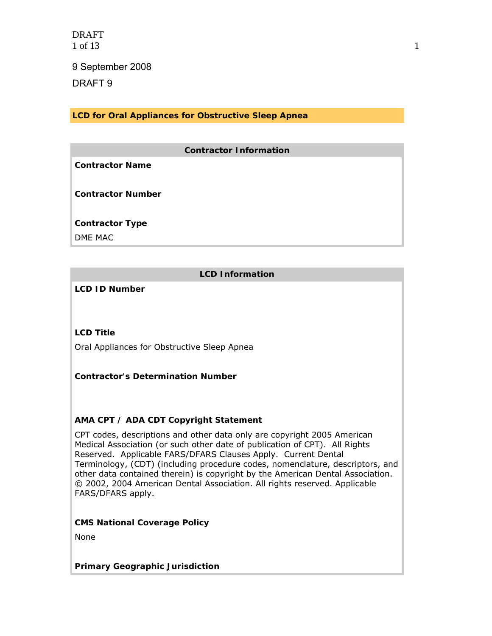DRAFT 1 of 13 1

9 September 2008

DRAFT 9

**LCD for Oral Appliances for Obstructive Sleep Apnea**

### **Contractor Information**

**Contractor Name** 

**Contractor Number** 

**Contractor Type** 

DME MAC

# **LCD Information**

**LCD ID Number** 

## **LCD Title**

Oral Appliances for Obstructive Sleep Apnea

## **Contractor's Determination Number**

## **AMA CPT / ADA CDT Copyright Statement**

CPT codes, descriptions and other data only are copyright 2005 American Medical Association (or such other date of publication of CPT). All Rights Reserved. Applicable FARS/DFARS Clauses Apply. Current Dental Terminology, (CDT) (including procedure codes, nomenclature, descriptors, and other data contained therein) is copyright by the American Dental Association. © 2002, 2004 American Dental Association. All rights reserved. Applicable FARS/DFARS apply.

#### **CMS National Coverage Policy**

None

**Primary Geographic Jurisdiction**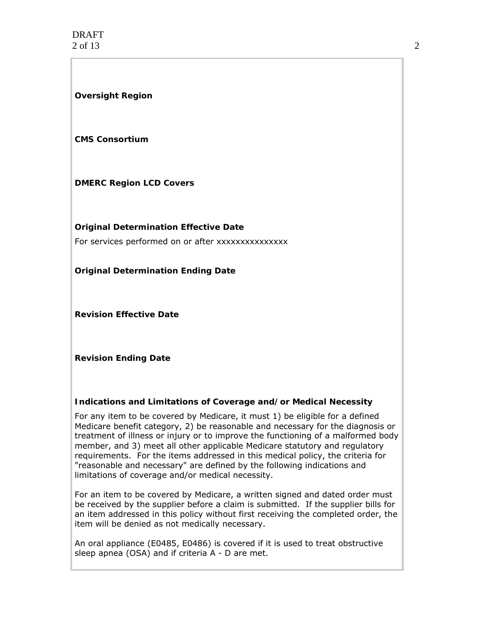#### **Oversight Region**

#### **CMS Consortium**

### **DMERC Region LCD Covers**

**Original Determination Effective Date** 

For services performed on or after xxxxxxxxxxxxxxx

**Original Determination Ending Date** 

**Revision Effective Date** 

**Revision Ending Date** 

#### **Indications and Limitations of Coverage and/or Medical Necessity**

For any item to be covered by Medicare, it must 1) be eligible for a defined Medicare benefit category, 2) be reasonable and necessary for the diagnosis or treatment of illness or injury or to improve the functioning of a malformed body member, and 3) meet all other applicable Medicare statutory and regulatory requirements. For the items addressed in this medical policy, the criteria for "reasonable and necessary" are defined by the following indications and limitations of coverage and/or medical necessity.

For an item to be covered by Medicare, a written signed and dated order must be received by the supplier before a claim is submitted. If the supplier bills for an item addressed in this policy without first receiving the completed order, the item will be denied as not medically necessary.

An oral appliance (E0485, E0486) is covered if it is used to treat obstructive sleep apnea (OSA) and if criteria A - D are met.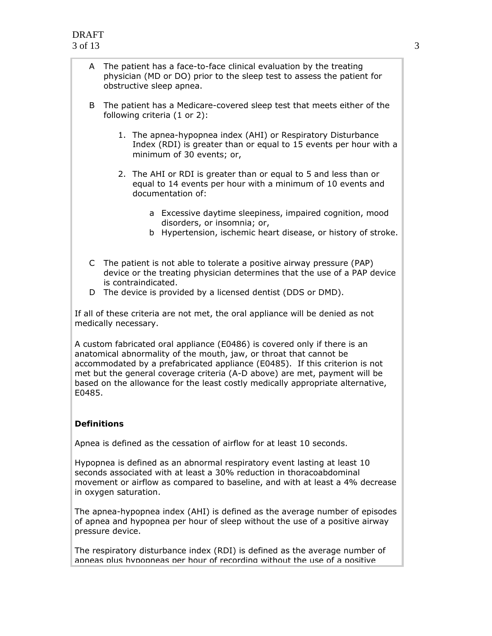- A The patient has a face-to-face clinical evaluation by the treating physician (MD or DO) prior to the sleep test to assess the patient for obstructive sleep apnea.
- B The patient has a Medicare-covered sleep test that meets either of the following criteria (1 or 2):
	- 1. The apnea-hypopnea index (AHI) or Respiratory Disturbance Index (RDI) is greater than or equal to 15 events per hour with a minimum of 30 events; or,
	- 2. The AHI or RDI is greater than or equal to 5 and less than or equal to 14 events per hour with a minimum of 10 events and documentation of:
		- a Excessive daytime sleepiness, impaired cognition, mood disorders, or insomnia; or,
		- b Hypertension, ischemic heart disease, or history of stroke.
- C The patient is not able to tolerate a positive airway pressure (PAP) device or the treating physician determines that the use of a PAP device is contraindicated.
- D The device is provided by a licensed dentist (DDS or DMD).

If all of these criteria are not met, the oral appliance will be denied as not medically necessary.

A custom fabricated oral appliance (E0486) is covered only if there is an anatomical abnormality of the mouth, jaw, or throat that cannot be accommodated by a prefabricated appliance (E0485). If this criterion is not met but the general coverage criteria (A-D above) are met, payment will be based on the allowance for the least costly medically appropriate alternative, E0485.

## **Definitions**

Apnea is defined as the cessation of airflow for at least 10 seconds.

Hypopnea is defined as an abnormal respiratory event lasting at least 10 seconds associated with at least a 30% reduction in thoracoabdominal movement or airflow as compared to baseline, and with at least a 4% decrease in oxygen saturation.

The apnea-hypopnea index (AHI) is defined as the average number of episodes of apnea and hypopnea per hour of sleep without the use of a positive airway pressure device.

The respiratory disturbance index (RDI) is defined as the average number of apneas plus hypopneas per hour of recording without the use of a positive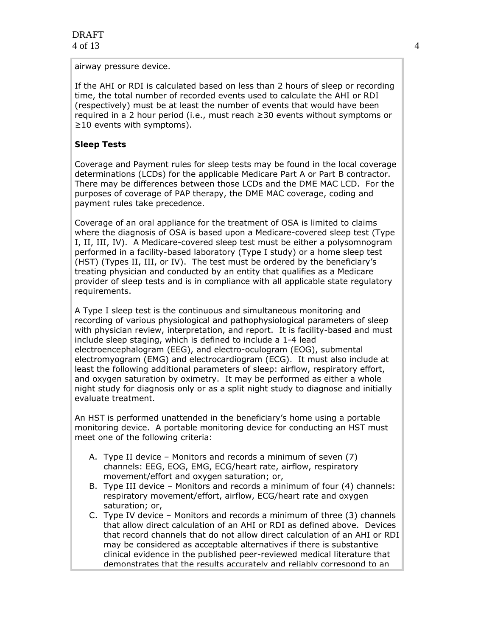airway pressure device.

If the AHI or RDI is calculated based on less than 2 hours of sleep or recording time, the total number of recorded events used to calculate the AHI or RDI (respectively) must be at least the number of events that would have been required in a 2 hour period (i.e., must reach ≥30 events without symptoms or ≥10 events with symptoms).

#### **Sleep Tests**

Coverage and Payment rules for sleep tests may be found in the local coverage determinations (LCDs) for the applicable Medicare Part A or Part B contractor. There may be differences between those LCDs and the DME MAC LCD. For the purposes of coverage of PAP therapy, the DME MAC coverage, coding and payment rules take precedence.

Coverage of an oral appliance for the treatment of OSA is limited to claims where the diagnosis of OSA is based upon a Medicare-covered sleep test (Type I, II, III, IV). A Medicare-covered sleep test must be either a polysomnogram performed in a facility-based laboratory (Type I study) or a home sleep test (HST) (Types II, III, or IV). The test must be ordered by the beneficiary's treating physician and conducted by an entity that qualifies as a Medicare provider of sleep tests and is in compliance with all applicable state regulatory requirements.

A Type I sleep test is the continuous and simultaneous monitoring and recording of various physiological and pathophysiological parameters of sleep with physician review, interpretation, and report. It is facility-based and must include sleep staging, which is defined to include a 1-4 lead electroencephalogram (EEG), and electro-oculogram (EOG), submental electromyogram (EMG) and electrocardiogram (ECG). It must also include at least the following additional parameters of sleep: airflow, respiratory effort, and oxygen saturation by oximetry. It may be performed as either a whole night study for diagnosis only or as a split night study to diagnose and initially evaluate treatment.

An HST is performed unattended in the beneficiary's home using a portable monitoring device. A portable monitoring device for conducting an HST must meet one of the following criteria:

- A. Type II device Monitors and records a minimum of seven (7) channels: EEG, EOG, EMG, ECG/heart rate, airflow, respiratory movement/effort and oxygen saturation; or,
- B. Type III device Monitors and records a minimum of four (4) channels: respiratory movement/effort, airflow, ECG/heart rate and oxygen saturation; or,
- C. Type IV device Monitors and records a minimum of three (3) channels that allow direct calculation of an AHI or RDI as defined above. Devices that record channels that do not allow direct calculation of an AHI or RDI may be considered as acceptable alternatives if there is substantive clinical evidence in the published peer-reviewed medical literature that demonstrates that the results accurately and reliably correspond to an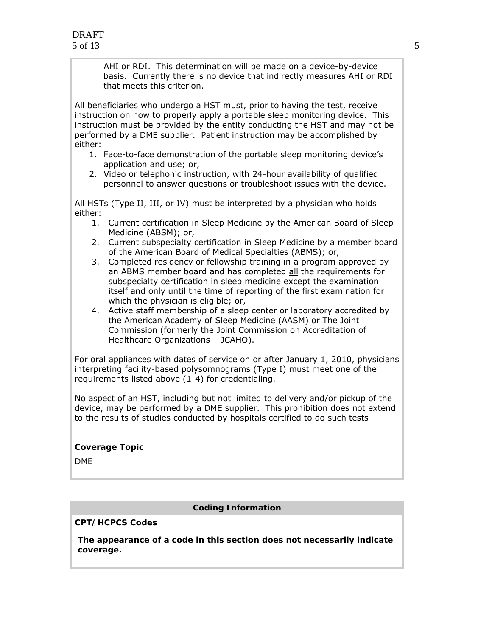AHI or RDI. This determination will be made on a device-by-device basis. Currently there is no device that indirectly measures AHI or RDI that meets this criterion.

All beneficiaries who undergo a HST must, prior to having the test, receive instruction on how to properly apply a portable sleep monitoring device. This instruction must be provided by the entity conducting the HST and may not be performed by a DME supplier. Patient instruction may be accomplished by either:

- 1. Face-to-face demonstration of the portable sleep monitoring device's application and use; or,
- 2. Video or telephonic instruction, with 24-hour availability of qualified personnel to answer questions or troubleshoot issues with the device.

All HSTs (Type II, III, or IV) must be interpreted by a physician who holds either:

- 1. Current certification in Sleep Medicine by the American Board of Sleep Medicine (ABSM); or,
- 2. Current subspecialty certification in Sleep Medicine by a member board of the American Board of Medical Specialties (ABMS); or,
- 3. Completed residency or fellowship training in a program approved by an ABMS member board and has completed all the requirements for subspecialty certification in sleep medicine except the examination itself and only until the time of reporting of the first examination for which the physician is eligible; or,
- 4. Active staff membership of a sleep center or laboratory accredited by the American Academy of Sleep Medicine (AASM) or The Joint Commission (formerly the Joint Commission on Accreditation of Healthcare Organizations – JCAHO).

For oral appliances with dates of service on or after January 1, 2010, physicians interpreting facility-based polysomnograms (Type I) must meet one of the requirements listed above (1-4) for credentialing.

No aspect of an HST, including but not limited to delivery and/or pickup of the device, may be performed by a DME supplier. This prohibition does not extend to the results of studies conducted by hospitals certified to do such tests

**Coverage Topic** 

DME

#### **Coding Information**

**CPT/HCPCS Codes** 

**The appearance of a code in this section does not necessarily indicate coverage.**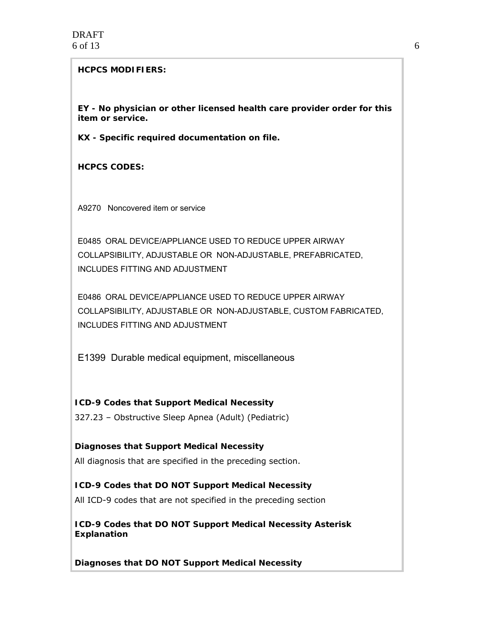#### **HCPCS MODIFIERS:**

**EY - No physician or other licensed health care provider order for this item or service.** 

**KX - Specific required documentation on file.** 

**HCPCS CODES:** 

A 9270 Noncovered item or service

E0485 ORAL DEVICE/APPLIANCE USED TO REDUCE UPPER AIRWAY COLLAPSIBILITY, ADJUSTABLE OR NON-ADJUSTABLE, PREFABRICATED, INCLUDES FITTING AND ADJUSTMENT

E0486 ORAL DEVICE/APPLIANCE USED TO REDUCE UPPER AIRWAY COLLAPSIBILITY, ADJUSTABLE OR NON-ADJUSTABLE, CUSTOM FABRICATED, INCLUDES FITTING AND ADJUSTMENT

E 1399 Durable medical equipment, miscellaneous

**ICD-9 Codes that Support Medical Necessity**  327.23 – Obstructive Sleep Apnea (Adult) (Pediatric)

**Diagnoses that Support Medical Necessity**  All diagnosis that are specified in the preceding section.

**ICD-9 Codes that DO NOT Support Medical Necessity**  All ICD-9 codes that are not specified in the preceding section

**ICD-9 Codes that DO NOT Support Medical Necessity Asterisk Explanation** 

**Diagnoses that DO NOT Support Medical Necessity**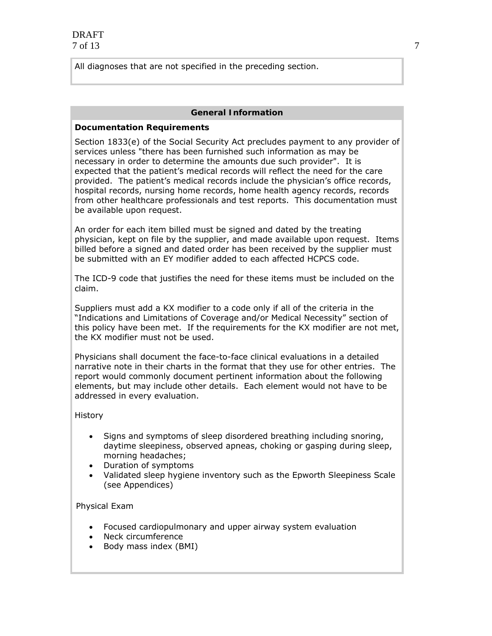All diagnoses that are not specified in the preceding section.

#### **General Information**

#### **Documentation Requirements**

Section 1833(e) of the Social Security Act precludes payment to any provider of services unless "there has been furnished such information as may be necessary in order to determine the amounts due such provider". It is expected that the patient's medical records will reflect the need for the care provided. The patient's medical records include the physician's office records, hospital records, nursing home records, home health agency records, records from other healthcare professionals and test reports. This documentation must be available upon request.

An order for each item billed must be signed and dated by the treating physician, kept on file by the supplier, and made available upon request. Items billed before a signed and dated order has been received by the supplier must be submitted with an EY modifier added to each affected HCPCS code.

The ICD-9 code that justifies the need for these items must be included on the claim.

Suppliers must add a KX modifier to a code only if all of the criteria in the "Indications and Limitations of Coverage and/or Medical Necessity" section of this policy have been met. If the requirements for the KX modifier are not met, the KX modifier must not be used.

Physicians shall document the face-to-face clinical evaluations in a detailed narrative note in their charts in the format that they use for other entries. The report would commonly document pertinent information about the following elements, but may include other details. Each element would not have to be addressed in every evaluation.

History

- Signs and symptoms of sleep disordered breathing including snoring, daytime sleepiness, observed apneas, choking or gasping during sleep, morning headaches;
- Duration of symptoms
- Validated sleep hygiene inventory such as the Epworth Sleepiness Scale (see Appendices)

Physical Exam

- Focused cardiopulmonary and upper airway system evaluation
- Neck circumference
- Body mass index (BMI)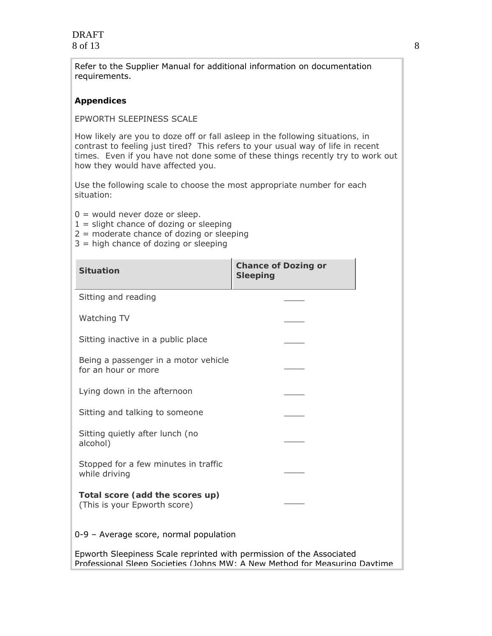DRAFT 8 of 13

Refer to the Supplier Manual for additional information on documentation requirements.

#### **Appendices**

#### EPWORTH SLEEPINESS SCALE

*How likely are you to doze off or fall asleep in the following situations, in contrast to feeling just tired? This refers to your usual way of life in recent times. Even if you have not done some of these things recently try to work out how they would have affected you.* 

*Use the following scale to choose the most appropriate number for each situation:*

- 0 = would *never* doze or sleep.
- 1 = *slight* chance of dozing or sleeping
- 2 = *moderate* chance of dozing or sleeping
- 3 = *high* chance of dozing or sleeping

| <b>Situation</b>                                                                                                                                   | <b>Chance of Dozing or</b><br><b>Sleeping</b> |
|----------------------------------------------------------------------------------------------------------------------------------------------------|-----------------------------------------------|
| Sitting and reading                                                                                                                                |                                               |
| Watching TV                                                                                                                                        |                                               |
| Sitting inactive in a public place                                                                                                                 |                                               |
| Being a passenger in a motor vehicle<br>for an hour or more                                                                                        |                                               |
| Lying down in the afternoon                                                                                                                        |                                               |
| Sitting and talking to someone                                                                                                                     |                                               |
| Sitting quietly after lunch (no<br>alcohol)                                                                                                        |                                               |
| Stopped for a few minutes in traffic<br>while driving                                                                                              |                                               |
| Total score (add the scores up)<br>(This is your Epworth score)                                                                                    |                                               |
| 0-9 - Average score, normal population                                                                                                             |                                               |
| Epworth Sleepiness Scale reprinted with permission of the Associated<br>Professional Sleen Societies (Johns MW: A New Method for Measuring Davtime |                                               |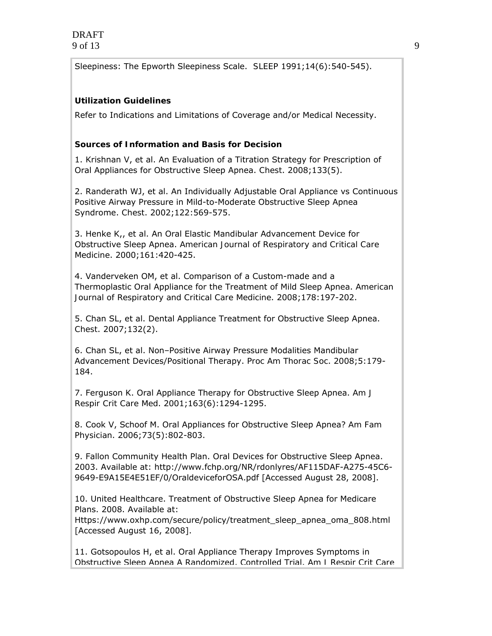Sleepiness: The Epworth Sleepiness Scale. *SLEEP* 1991;14(6):540-545).

### **Utilization Guidelines**

Refer to Indications and Limitations of Coverage and/or Medical Necessity.

### **Sources of Information and Basis for Decision**

1. Krishnan V, et al. An Evaluation of a Titration Strategy for Prescription of Oral Appliances for Obstructive Sleep Apnea. *Chest*. 2008;133(5).

2. Randerath WJ, et al. An Individually Adjustable Oral Appliance vs Continuous Positive Airway Pressure in Mild-to-Moderate Obstructive Sleep Apnea Syndrome. *Chest*. 2002;122:569-575.

3. Henke K,, et al. An Oral Elastic Mandibular Advancement Device for Obstructive Sleep Apnea. *American Journal of Respiratory and Critical Care Medicine*. 2000;161:420-425.

4. Vanderveken OM, et al. Comparison of a Custom-made and a Thermoplastic Oral Appliance for the Treatment of Mild Sleep Apnea. *American Journal of Respiratory and Critical Care Medicine*. 2008;178:197-202.

5. Chan SL, et al. Dental Appliance Treatment for Obstructive Sleep Apnea. *Chest*. 2007;132(2).

6. Chan SL, et al. Non–Positive Airway Pressure Modalities Mandibular Advancement Devices/Positional Therapy. *Proc Am Thorac Soc*. 2008;5:179- 184.

7. Ferguson K. Oral Appliance Therapy for Obstructive Sleep Apnea. *Am J Respir Crit Care Med*. 2001;163(6):1294-1295.

8. Cook V, Schoof M. Oral Appliances for Obstructive Sleep Apnea? *Am Fam Physician*. 2006;73(5):802-803.

9. Fallon Community Health Plan. Oral Devices for Obstructive Sleep Apnea. 2003. Available at: http://www.fchp.org/NR/rdonlyres/AF115DAF-A275-45C6- 9649-E9A15E4E51EF/0/OraldeviceforOSA.pdf [Accessed August 28, 2008].

10. United Healthcare. Treatment of Obstructive Sleep Apnea for Medicare Plans. 2008. Available at:

Https://www.oxhp.com/secure/policy/treatment\_sleep\_apnea\_oma\_808.html [Accessed August 16, 2008].

11. Gotsopoulos H, et al. Oral Appliance Therapy Improves Symptoms in Obstructive Sleep Apnea A Randomized, Controlled Trial. *Am J Respir Crit Care*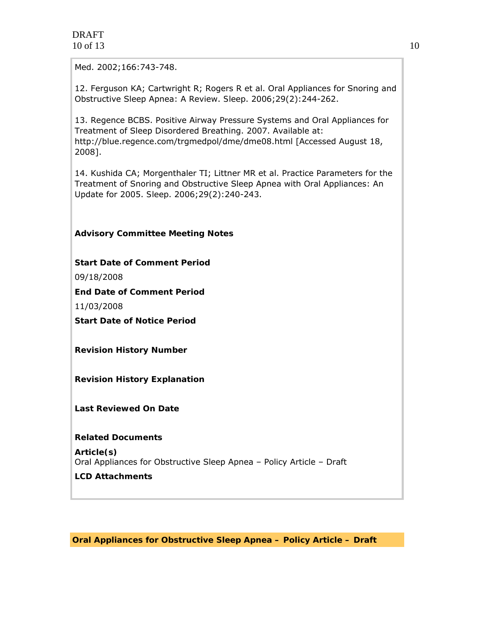*Med*. 2002;166:743-748.

12. Ferguson KA; Cartwright R; Rogers R et al. Oral Appliances for Snoring and Obstructive Sleep Apnea: A Review. *Sleep*. 2006;29(2):244-262.

13. Regence BCBS. Positive Airway Pressure Systems and Oral Appliances for Treatment of Sleep Disordered Breathing. 2007. Available at: http://blue.regence.com/trgmedpol/dme/dme08.html [Accessed August 18, 2008].

14. Kushida CA; Morgenthaler TI; Littner MR et al. Practice Parameters for the Treatment of Snoring and Obstructive Sleep Apnea with Oral Appliances: An Update for 2005. *Sleep*. 2006;29(2):240-243.

## **Advisory Committee Meeting Notes**

**Start Date of Comment Period** 

09/18/2008

**End Date of Comment Period** 

11/03/2008

**Start Date of Notice Period** 

**Revision History Number** 

**Revision History Explanation** 

**Last Reviewed On Date** 

**Related Documents** 

**Article(s)** Oral Appliances for Obstructive Sleep Apnea – Policy Article – Draft

**LCD Attachments** 

**Oral Appliances for Obstructive Sleep Apnea – Policy Article – Draft**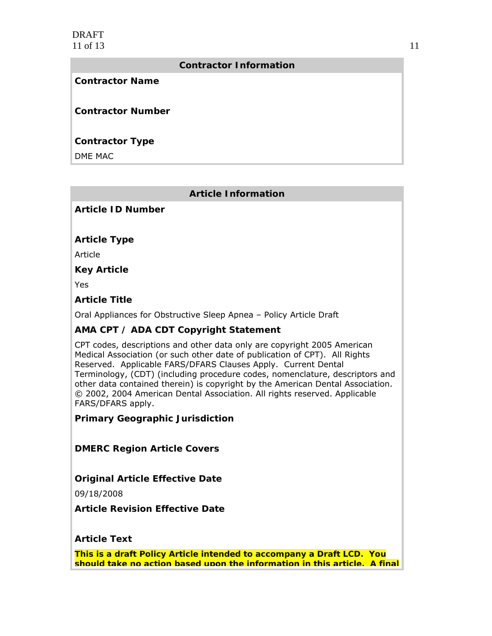### **Contractor Information**

#### **Contractor Name**

**Contractor Number** 

# **Contractor Type**

DME MAC

# **Article Information**

## **Article ID Number**

## **Article Type**

Article

**Key Article** 

Yes

## **Article Title**

Oral Appliances for Obstructive Sleep Apnea – Policy Article Draft

# **AMA CPT / ADA CDT Copyright Statement**

CPT codes, descriptions and other data only are copyright 2005 American Medical Association (or such other date of publication of CPT). All Rights Reserved. Applicable FARS/DFARS Clauses Apply. Current Dental Terminology, (CDT) (including procedure codes, nomenclature, descriptors and other data contained therein) is copyright by the American Dental Association. © 2002, 2004 American Dental Association. All rights reserved. Applicable FARS/DFARS apply.

**Primary Geographic Jurisdiction** 

**DMERC Region Article Covers** 

# **Original Article Effective Date**

09/18/2008

**Article Revision Effective Date** 

**Article Text** 

**This is a draft Policy Article intended to accompany a Draft LCD. You should take no action based upon the information in this article. A final**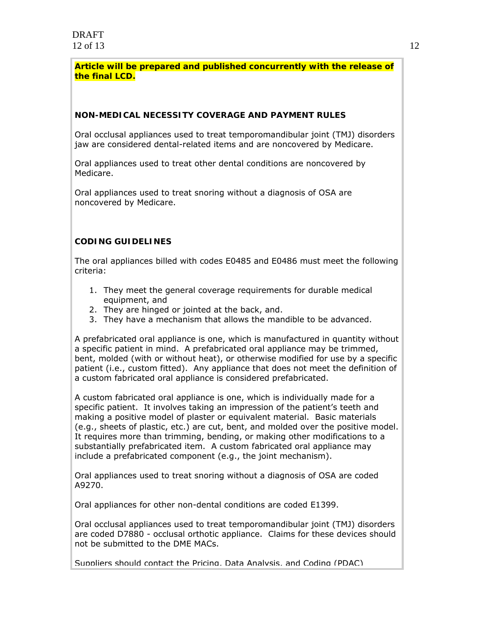**Article will be prepared and published concurrently with the release of the final LCD.** 

#### **NON-MEDICAL NECESSITY COVERAGE AND PAYMENT RULES**

Oral occlusal appliances used to treat temporomandibular joint (TMJ) disorders jaw are considered dental-related items and are noncovered by Medicare.

Oral appliances used to treat other dental conditions are noncovered by Medicare.

Oral appliances used to treat snoring without a diagnosis of OSA are noncovered by Medicare.

#### **CODING GUIDELINES**

The oral appliances billed with codes E0485 and E0486 must meet the following criteria:

- 1. They meet the general coverage requirements for durable medical equipment, and
- 2. They are hinged or jointed at the back, and.
- 3. They have a mechanism that allows the mandible to be advanced.

A prefabricated oral appliance is one, which is manufactured in quantity without a specific patient in mind. A prefabricated oral appliance may be trimmed, bent, molded (with or without heat), or otherwise modified for use by a specific patient (i.e., custom fitted). Any appliance that does not meet the definition of a custom fabricated oral appliance is considered prefabricated.

A custom fabricated oral appliance is one, which is individually made for a specific patient. It involves taking an impression of the patient's teeth and making a positive model of plaster or equivalent material. Basic materials (e.g., sheets of plastic, etc.) are cut, bent, and molded over the positive model. It requires more than trimming, bending, or making other modifications to a substantially prefabricated item. A custom fabricated oral appliance may include a prefabricated component (e.g., the joint mechanism).

Oral appliances used to treat snoring without a diagnosis of OSA are coded A9270.

Oral appliances for other non-dental conditions are coded E1399.

Oral occlusal appliances used to treat temporomandibular joint (TMJ) disorders are coded D7880 - occlusal orthotic appliance. Claims for these devices should not be submitted to the DME MACs.

Suppliers should contact the Pricing, Data Analysis, and Coding (PDAC)